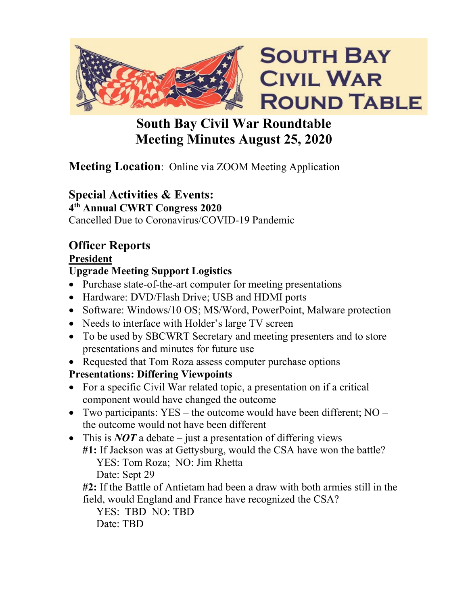

### **South Bay Civil War Roundtable Meeting Minutes August 25, 2020**

#### **Meeting Location:** Online via ZOOM Meeting Application

#### **Special Activities & Events:**

**4th Annual CWRT Congress 2020**

Cancelled Due to Coronavirus/COVID-19 Pandemic

## **Officer Reports**

### **President**

### **Upgrade Meeting Support Logistics**

- Purchase state-of-the-art computer for meeting presentations
- Hardware: DVD/Flash Drive; USB and HDMI ports
- Software: Windows/10 OS; MS/Word, PowerPoint, Malware protection
- Needs to interface with Holder's large TV screen
- To be used by SBCWRT Secretary and meeting presenters and to store presentations and minutes for future use
- Requested that Tom Roza assess computer purchase options

#### **Presentations: Differing Viewpoints**

- For a specific Civil War related topic, a presentation on if a critical component would have changed the outcome
- Two participants:  $YES the outcome would have been different;  $NO$$ the outcome would not have been different
- This is *NOT* a debate just a presentation of differing views **#1:** If Jackson was at Gettysburg, would the CSA have won the battle? YES: Tom Roza; NO: Jim Rhetta

Date: Sept 29

**#2:** If the Battle of Antietam had been a draw with both armies still in the field, would England and France have recognized the CSA?

YES: TBD NO: TBD Date: TBD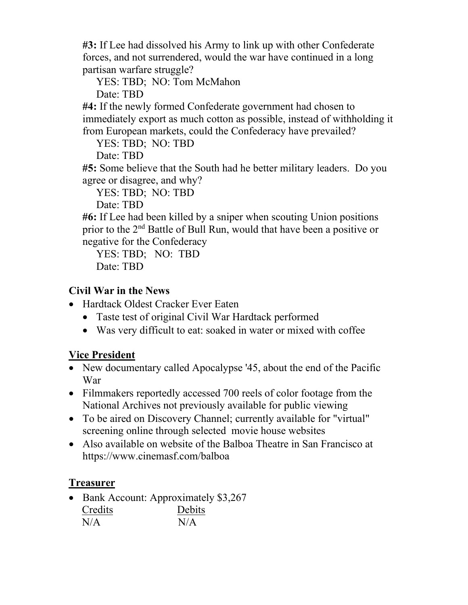**#3:** If Lee had dissolved his Army to link up with other Confederate forces, and not surrendered, would the war have continued in a long partisan warfare struggle?

YES: TBD; NO: Tom McMahon

Date: TBD

**#4:** If the newly formed Confederate government had chosen to immediately export as much cotton as possible, instead of withholding it from European markets, could the Confederacy have prevailed?

YES: TBD; NO: TBD

Date: TBD

**#5:** Some believe that the South had he better military leaders. Do you agree or disagree, and why?

YES: TBD; NO: TBD

Date: TBD

**#6:** If Lee had been killed by a sniper when scouting Union positions prior to the 2nd Battle of Bull Run, would that have been a positive or negative for the Confederacy

YES: TBD; NO: TBD Date: TBD

#### **Civil War in the News**

- Hardtack Oldest Cracker Ever Eaten
	- Taste test of original Civil War Hardtack performed
	- Was very difficult to eat: soaked in water or mixed with coffee

#### **Vice President**

- New documentary called Apocalypse '45, about the end of the Pacific War
- Filmmakers reportedly accessed 700 reels of color footage from the National Archives not previously available for public viewing
- To be aired on Discovery Channel; currently available for "virtual" screening online through selected movie house websites
- Also available on website of the Balboa Theatre in San Francisco at https://www.cinemasf.com/balboa

#### **Treasurer**

• Bank Account: Approximately \$3,267 Credits Debits  $N/A$   $N/A$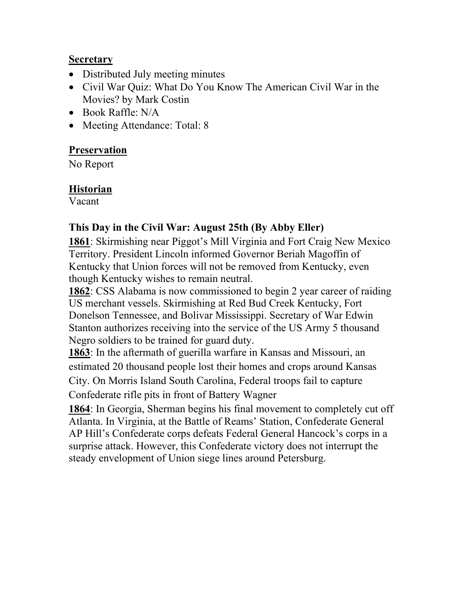#### **Secretary**

- Distributed July meeting minutes
- Civil War Quiz: What Do You Know The American Civil War in the Movies? by Mark Costin
- Book Raffle: N/A
- Meeting Attendance: Total: 8

#### **Preservation**

No Report

#### **Historian**

Vacant

#### **This Day in the Civil War: August 25th (By Abby Eller)**

**1861**: Skirmishing near Piggot's Mill Virginia and Fort Craig New Mexico Territory. President Lincoln informed Governor Beriah Magoffin of Kentucky that Union forces will not be removed from Kentucky, even though Kentucky wishes to remain neutral.

**1862**: CSS Alabama is now commissioned to begin 2 year career of raiding US merchant vessels. Skirmishing at Red Bud Creek Kentucky, Fort Donelson Tennessee, and Bolivar Mississippi. Secretary of War Edwin Stanton authorizes receiving into the service of the US Army 5 thousand Negro soldiers to be trained for guard duty.

**1863**: In the aftermath of guerilla warfare in Kansas and Missouri, an estimated 20 thousand people lost their homes and crops around Kansas City. On Morris Island South Carolina, Federal troops fail to capture Confederate rifle pits in front of Battery Wagner

**1864**: In Georgia, Sherman begins his final movement to completely cut off Atlanta. In Virginia, at the Battle of Reams' Station, Confederate General AP Hill's Confederate corps defeats Federal General Hancock's corps in a surprise attack. However, this Confederate victory does not interrupt the steady envelopment of Union siege lines around Petersburg.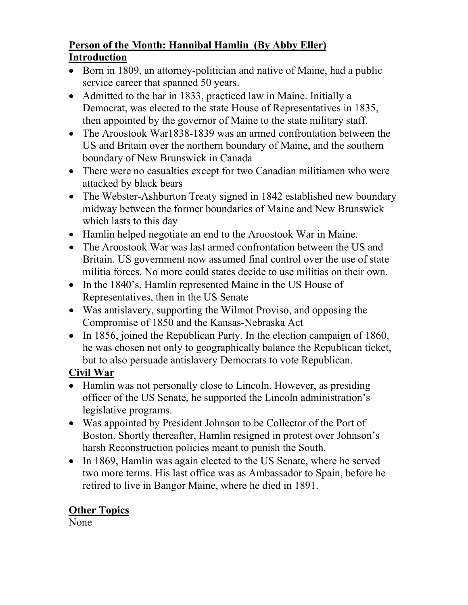#### **Person of the Month: Hannibal Hamlin (By Abby Eller) Introduction**

- Born in 1809, an attorney-politician and native of Maine, had a public service career that spanned 50 years.
- Admitted to the bar in 1833, practiced law in Maine. Initially a Democrat, was elected to the state House of Representatives in 1835, then appointed by the governor of Maine to the state military staff.
- The Aroostook War1838-1839 was an armed confrontation between the US and Britain over the northern boundary of Maine, and the southern boundary of New Brunswick in Canada
- There were no casualties except for two Canadian militiamen who were attacked by black bears
- The Webster-Ashburton Treaty signed in 1842 established new boundary midway between the former boundaries of Maine and New Brunswick which lasts to this day
- Hamlin helped negotiate an end to the Aroostook War in Maine.
- The Aroostook War was last armed confrontation between the US and Britain. US government now assumed final control over the use of state militia forces. No more could states decide to use militias on their own.
- In the 1840's, Hamlin represented Maine in the US House of Representatives, then in the US Senate
- Was antislavery, supporting the Wilmot Proviso, and opposing the Compromise of 1850 and the Kansas-Nebraska Act
- In 1856, joined the Republican Party. In the election campaign of 1860, he was chosen not only to geographically balance the Republican ticket, but to also persuade antislavery Democrats to vote Republican.

#### **Civil War**

- Hamlin was not personally close to Lincoln. However, as presiding officer of the US Senate, he supported the Lincoln administration's legislative programs.
- Was appointed by President Johnson to be Collector of the Port of Boston. Shortly thereafter, Hamlin resigned in protest over Johnson's harsh Reconstruction policies meant to punish the South.
- In 1869, Hamlin was again elected to the US Senate, where he served two more terms. His last office was as Ambassador to Spain, before he retired to live in Bangor Maine, where he died in 1891.

#### **Other Topics**

None